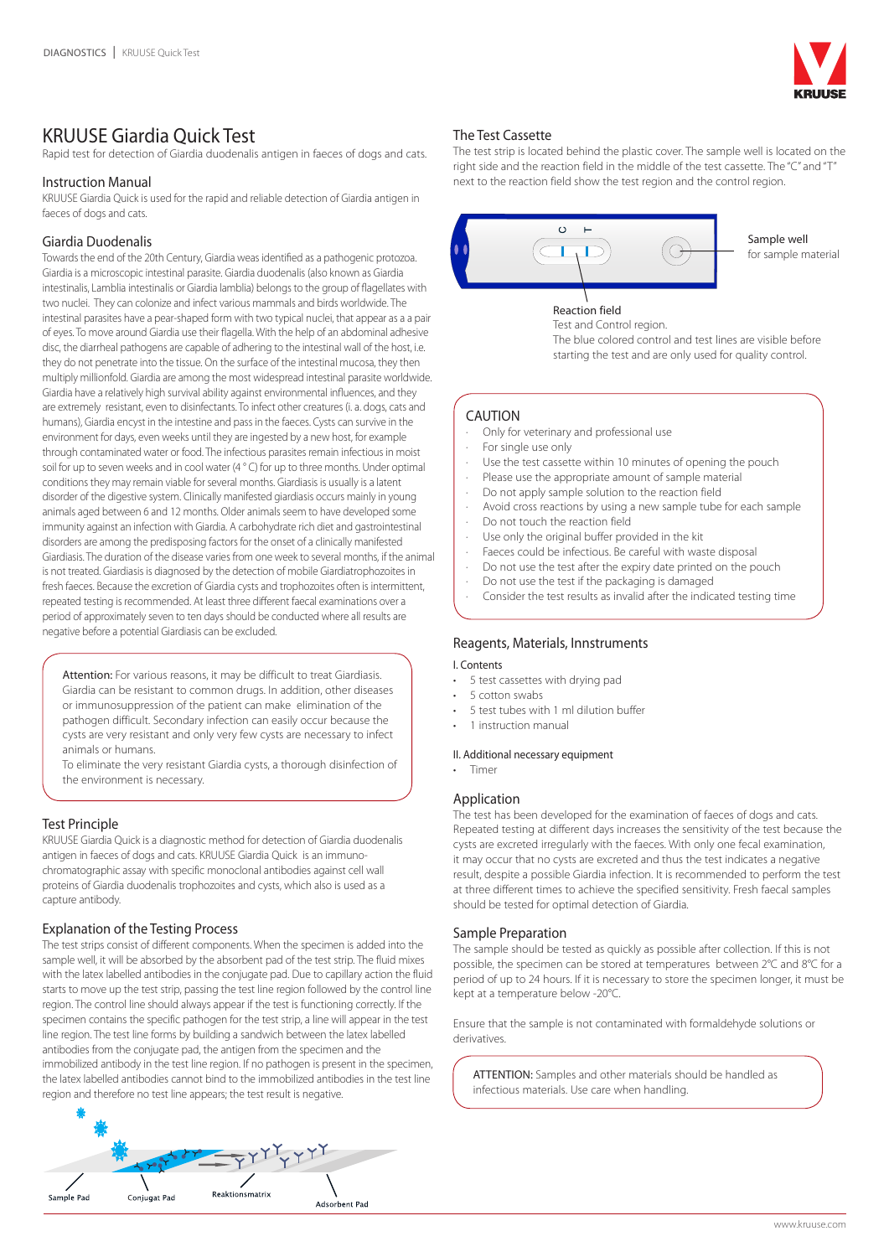

# KRUUSE Giardia Quick Test

Rapid test for detection of Giardia duodenalis antigen in faeces of dogs and cats.

# Instruction Manual

KRUUSE Giardia Quick is used for the rapid and reliable detection of Giardia antigen in faeces of dogs and cats.

# Giardia Duodenalis

Towards the end of the 20th Century, Giardia weas identified as a pathogenic protozoa. Giardia is a microscopic intestinal parasite. Giardia duodenalis (also known as Giardia intestinalis, Lamblia intestinalis or Giardia lamblia) belongs to the group of flagellates with two nuclei. They can colonize and infect various mammals and birds worldwide. The intestinal parasites have a pear-shaped form with two typical nuclei, that appear as a a pair of eyes. To move around Giardia use their flagella. With the help of an abdominal adhesive disc, the diarrheal pathogens are capable of adhering to the intestinal wall of the host, i.e. they do not penetrate into the tissue. On the surface of the intestinal mucosa, they then multiply millionfold. Giardia are among the most widespread intestinal parasite worldwide. Giardia have a relatively high survival ability against environmental influences, and they are extremely resistant, even to disinfectants. To infect other creatures (i. a. dogs, cats and humans), Giardia encyst in the intestine and pass in the faeces. Cysts can survive in the environment for days, even weeks until they are ingested by a new host, for example through contaminated water or food. The infectious parasites remain infectious in moist soil for up to seven weeks and in cool water (4 ° C) for up to three months. Under optimal conditions they may remain viable for several months. Giardiasis is usually is a latent disorder of the digestive system. Clinically manifested giardiasis occurs mainly in young animals aged between 6 and 12 months. Older animals seem to have developed some immunity against an infection with Giardia. A carbohydrate rich diet and gastrointestinal disorders are among the predisposing factors for the onset of a clinically manifested Giardiasis. The duration of the disease varies from one week to several months, if the animal is not treated. Giardiasis is diagnosed by the detection of mobile Giardiatrophozoites in fresh faeces. Because the excretion of Giardia cysts and trophozoites often is intermittent, repeated testing is recommended. At least three different faecal examinations over a period of approximately seven to ten days should be conducted where all results are negative before a potential Giardiasis can be excluded.

Attention: For various reasons, it may be difficult to treat Giardiasis. Giardia can be resistant to common drugs. In addition, other diseases or immunosuppression of the patient can make elimination of the pathogen difficult. Secondary infection can easily occur because the cysts are very resistant and only very few cysts are necessary to infect animals or humans.

To eliminate the very resistant Giardia cysts, a thorough disinfection of the environment is necessary.

# Test Principle

KRUUSE Giardia Quick is a diagnostic method for detection of Giardia duodenalis antigen in faeces of dogs and cats. KRUUSE Giardia Quick is an immunochromatographic assay with specific monoclonal antibodies against cell wall proteins of Giardia duodenalis trophozoites and cysts, which also is used as a capture antibody.

# Explanation of the Testing Process

The test strips consist of different components. When the specimen is added into the sample well, it will be absorbed by the absorbent pad of the test strip. The fluid mixes with the latex labelled antibodies in the conjugate pad. Due to capillary action the fluid starts to move up the test strip, passing the test line region followed by the control line region. The control line should always appear if the test is functioning correctly. If the specimen contains the specific pathogen for the test strip, a line will appear in the test line region. The test line forms by building a sandwich between the latex labelled antibodies from the conjugate pad, the antigen from the specimen and the immobilized antibody in the test line region. If no pathogen is present in the specimen, the latex labelled antibodies cannot bind to the immobilized antibodies in the test line region and therefore no test line appears; the test result is negative.



# The Test Cassette

The test strip is located behind the plastic cover. The sample well is located on the right side and the reaction field in the middle of the test cassette. The "C" and "T" next to the reaction field show the test region and the control region.



Sample well for sample material

Reaction field Test and Control region. The blue colored control and test lines are visible before starting the test and are only used for quality control.

# CAUTION

- · Only for veterinary and professional use
- For single use only
- Use the test cassette within 10 minutes of opening the pouch
- Please use the appropriate amount of sample material
- Do not apply sample solution to the reaction field
- Avoid cross reactions by using a new sample tube for each sample
- Do not touch the reaction field
- Use only the original buffer provided in the kit
- Faeces could be infectious. Be careful with waste disposal
- Do not use the test after the expiry date printed on the pouch
- Do not use the test if the packaging is damaged
- Consider the test results as invalid after the indicated testing time

# Reagents, Materials, Innstruments

# I. Contents

- 5 test cassettes with drying pad
- 5 cotton swabs
- 5 test tubes with 1 ml dilution buffer
- 1 instruction manual

# II. Additional necessary equipment

• Timer

# Application

The test has been developed for the examination of faeces of dogs and cats. Repeated testing at different days increases the sensitivity of the test because the cysts are excreted irregularly with the faeces. With only one fecal examination, it may occur that no cysts are excreted and thus the test indicates a negative result, despite a possible Giardia infection. It is recommended to perform the test at three different times to achieve the specified sensitivity. Fresh faecal samples should be tested for optimal detection of Giardia.

# Sample Preparation

The sample should be tested as quickly as possible after collection. If this is not possible, the specimen can be stored at temperatures between 2°C and 8°C for a period of up to 24 hours. If it is necessary to store the specimen longer, it must be kept at a temperature below -20°C.

Ensure that the sample is not contaminated with formaldehyde solutions or derivatives.

ATTENTION: Samples and other materials should be handled as infectious materials. Use care when handling.